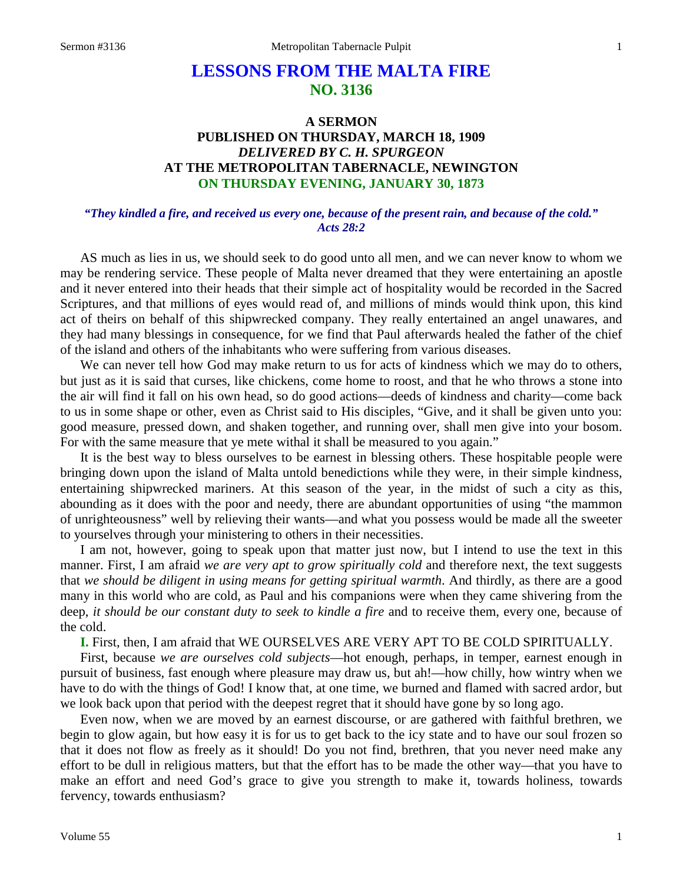# **LESSONS FROM THE MALTA FIRE NO. 3136**

## **A SERMON PUBLISHED ON THURSDAY, MARCH 18, 1909** *DELIVERED BY C. H. SPURGEON* **AT THE METROPOLITAN TABERNACLE, NEWINGTON ON THURSDAY EVENING, JANUARY 30, 1873**

#### *"They kindled a fire, and received us every one, because of the present rain, and because of the cold." Acts 28:2*

AS much as lies in us, we should seek to do good unto all men, and we can never know to whom we may be rendering service. These people of Malta never dreamed that they were entertaining an apostle and it never entered into their heads that their simple act of hospitality would be recorded in the Sacred Scriptures, and that millions of eyes would read of, and millions of minds would think upon, this kind act of theirs on behalf of this shipwrecked company. They really entertained an angel unawares, and they had many blessings in consequence, for we find that Paul afterwards healed the father of the chief of the island and others of the inhabitants who were suffering from various diseases.

We can never tell how God may make return to us for acts of kindness which we may do to others, but just as it is said that curses, like chickens, come home to roost, and that he who throws a stone into the air will find it fall on his own head, so do good actions—deeds of kindness and charity—come back to us in some shape or other, even as Christ said to His disciples, "Give, and it shall be given unto you: good measure, pressed down, and shaken together, and running over, shall men give into your bosom. For with the same measure that ye mete withal it shall be measured to you again."

It is the best way to bless ourselves to be earnest in blessing others. These hospitable people were bringing down upon the island of Malta untold benedictions while they were, in their simple kindness, entertaining shipwrecked mariners. At this season of the year, in the midst of such a city as this, abounding as it does with the poor and needy, there are abundant opportunities of using "the mammon of unrighteousness" well by relieving their wants—and what you possess would be made all the sweeter to yourselves through your ministering to others in their necessities.

I am not, however, going to speak upon that matter just now, but I intend to use the text in this manner. First, I am afraid *we are very apt to grow spiritually cold* and therefore next, the text suggests that *we should be diligent in using means for getting spiritual warmth*. And thirdly, as there are a good many in this world who are cold, as Paul and his companions were when they came shivering from the deep, *it should be our constant duty to seek to kindle a fire* and to receive them, every one, because of the cold.

**I.** First, then, I am afraid that WE OURSELVES ARE VERY APT TO BE COLD SPIRITUALLY.

First, because *we are ourselves cold subjects*—hot enough, perhaps, in temper, earnest enough in pursuit of business, fast enough where pleasure may draw us, but ah!—how chilly, how wintry when we have to do with the things of God! I know that, at one time, we burned and flamed with sacred ardor, but we look back upon that period with the deepest regret that it should have gone by so long ago.

Even now, when we are moved by an earnest discourse, or are gathered with faithful brethren, we begin to glow again, but how easy it is for us to get back to the icy state and to have our soul frozen so that it does not flow as freely as it should! Do you not find, brethren, that you never need make any effort to be dull in religious matters, but that the effort has to be made the other way—that you have to make an effort and need God's grace to give you strength to make it, towards holiness, towards fervency, towards enthusiasm?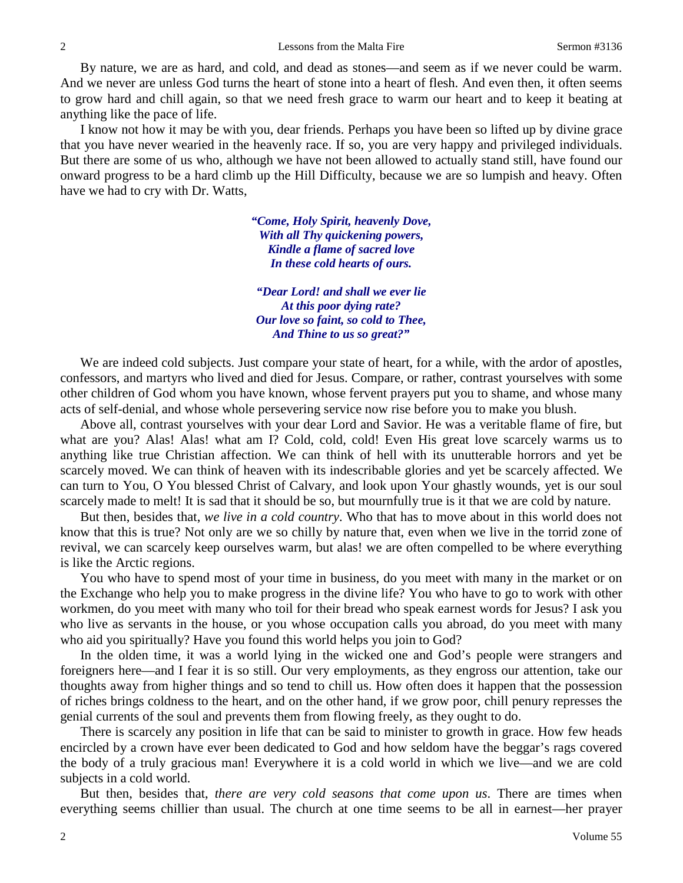By nature, we are as hard, and cold, and dead as stones—and seem as if we never could be warm. And we never are unless God turns the heart of stone into a heart of flesh. And even then, it often seems to grow hard and chill again, so that we need fresh grace to warm our heart and to keep it beating at anything like the pace of life.

I know not how it may be with you, dear friends. Perhaps you have been so lifted up by divine grace that you have never wearied in the heavenly race. If so, you are very happy and privileged individuals. But there are some of us who, although we have not been allowed to actually stand still, have found our onward progress to be a hard climb up the Hill Difficulty, because we are so lumpish and heavy. Often have we had to cry with Dr. Watts,

> *"Come, Holy Spirit, heavenly Dove, With all Thy quickening powers, Kindle a flame of sacred love In these cold hearts of ours.*

*"Dear Lord! and shall we ever lie At this poor dying rate? Our love so faint, so cold to Thee, And Thine to us so great?"*

We are indeed cold subjects. Just compare your state of heart, for a while, with the ardor of apostles, confessors, and martyrs who lived and died for Jesus. Compare, or rather, contrast yourselves with some other children of God whom you have known, whose fervent prayers put you to shame, and whose many acts of self-denial, and whose whole persevering service now rise before you to make you blush.

Above all, contrast yourselves with your dear Lord and Savior. He was a veritable flame of fire, but what are you? Alas! Alas! what am I? Cold, cold, cold! Even His great love scarcely warms us to anything like true Christian affection. We can think of hell with its unutterable horrors and yet be scarcely moved. We can think of heaven with its indescribable glories and yet be scarcely affected. We can turn to You, O You blessed Christ of Calvary, and look upon Your ghastly wounds, yet is our soul scarcely made to melt! It is sad that it should be so, but mournfully true is it that we are cold by nature.

But then, besides that, *we live in a cold country*. Who that has to move about in this world does not know that this is true? Not only are we so chilly by nature that, even when we live in the torrid zone of revival, we can scarcely keep ourselves warm, but alas! we are often compelled to be where everything is like the Arctic regions.

You who have to spend most of your time in business, do you meet with many in the market or on the Exchange who help you to make progress in the divine life? You who have to go to work with other workmen, do you meet with many who toil for their bread who speak earnest words for Jesus? I ask you who live as servants in the house, or you whose occupation calls you abroad, do you meet with many who aid you spiritually? Have you found this world helps you join to God?

In the olden time, it was a world lying in the wicked one and God's people were strangers and foreigners here—and I fear it is so still. Our very employments, as they engross our attention, take our thoughts away from higher things and so tend to chill us. How often does it happen that the possession of riches brings coldness to the heart, and on the other hand, if we grow poor, chill penury represses the genial currents of the soul and prevents them from flowing freely, as they ought to do.

There is scarcely any position in life that can be said to minister to growth in grace. How few heads encircled by a crown have ever been dedicated to God and how seldom have the beggar's rags covered the body of a truly gracious man! Everywhere it is a cold world in which we live—and we are cold subjects in a cold world.

But then, besides that, *there are very cold seasons that come upon us*. There are times when everything seems chillier than usual. The church at one time seems to be all in earnest—her prayer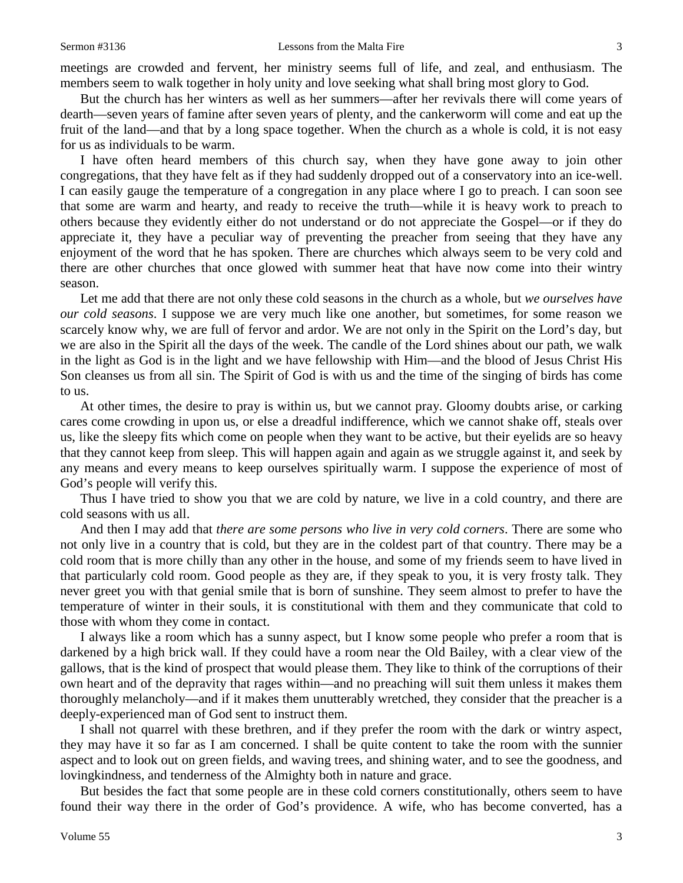meetings are crowded and fervent, her ministry seems full of life, and zeal, and enthusiasm. The members seem to walk together in holy unity and love seeking what shall bring most glory to God.

But the church has her winters as well as her summers—after her revivals there will come years of dearth—seven years of famine after seven years of plenty, and the cankerworm will come and eat up the fruit of the land—and that by a long space together. When the church as a whole is cold, it is not easy for us as individuals to be warm.

I have often heard members of this church say, when they have gone away to join other congregations, that they have felt as if they had suddenly dropped out of a conservatory into an ice-well. I can easily gauge the temperature of a congregation in any place where I go to preach. I can soon see that some are warm and hearty, and ready to receive the truth—while it is heavy work to preach to others because they evidently either do not understand or do not appreciate the Gospel—or if they do appreciate it, they have a peculiar way of preventing the preacher from seeing that they have any enjoyment of the word that he has spoken. There are churches which always seem to be very cold and there are other churches that once glowed with summer heat that have now come into their wintry season.

Let me add that there are not only these cold seasons in the church as a whole, but *we ourselves have our cold seasons*. I suppose we are very much like one another, but sometimes, for some reason we scarcely know why, we are full of fervor and ardor. We are not only in the Spirit on the Lord's day, but we are also in the Spirit all the days of the week. The candle of the Lord shines about our path, we walk in the light as God is in the light and we have fellowship with Him—and the blood of Jesus Christ His Son cleanses us from all sin. The Spirit of God is with us and the time of the singing of birds has come to us.

At other times, the desire to pray is within us, but we cannot pray. Gloomy doubts arise, or carking cares come crowding in upon us, or else a dreadful indifference, which we cannot shake off, steals over us, like the sleepy fits which come on people when they want to be active, but their eyelids are so heavy that they cannot keep from sleep. This will happen again and again as we struggle against it, and seek by any means and every means to keep ourselves spiritually warm. I suppose the experience of most of God's people will verify this.

Thus I have tried to show you that we are cold by nature, we live in a cold country, and there are cold seasons with us all.

And then I may add that *there are some persons who live in very cold corners*. There are some who not only live in a country that is cold, but they are in the coldest part of that country. There may be a cold room that is more chilly than any other in the house, and some of my friends seem to have lived in that particularly cold room. Good people as they are, if they speak to you, it is very frosty talk. They never greet you with that genial smile that is born of sunshine. They seem almost to prefer to have the temperature of winter in their souls, it is constitutional with them and they communicate that cold to those with whom they come in contact.

I always like a room which has a sunny aspect, but I know some people who prefer a room that is darkened by a high brick wall. If they could have a room near the Old Bailey, with a clear view of the gallows, that is the kind of prospect that would please them. They like to think of the corruptions of their own heart and of the depravity that rages within—and no preaching will suit them unless it makes them thoroughly melancholy—and if it makes them unutterably wretched, they consider that the preacher is a deeply-experienced man of God sent to instruct them.

I shall not quarrel with these brethren, and if they prefer the room with the dark or wintry aspect, they may have it so far as I am concerned. I shall be quite content to take the room with the sunnier aspect and to look out on green fields, and waving trees, and shining water, and to see the goodness, and lovingkindness, and tenderness of the Almighty both in nature and grace.

But besides the fact that some people are in these cold corners constitutionally, others seem to have found their way there in the order of God's providence. A wife, who has become converted, has a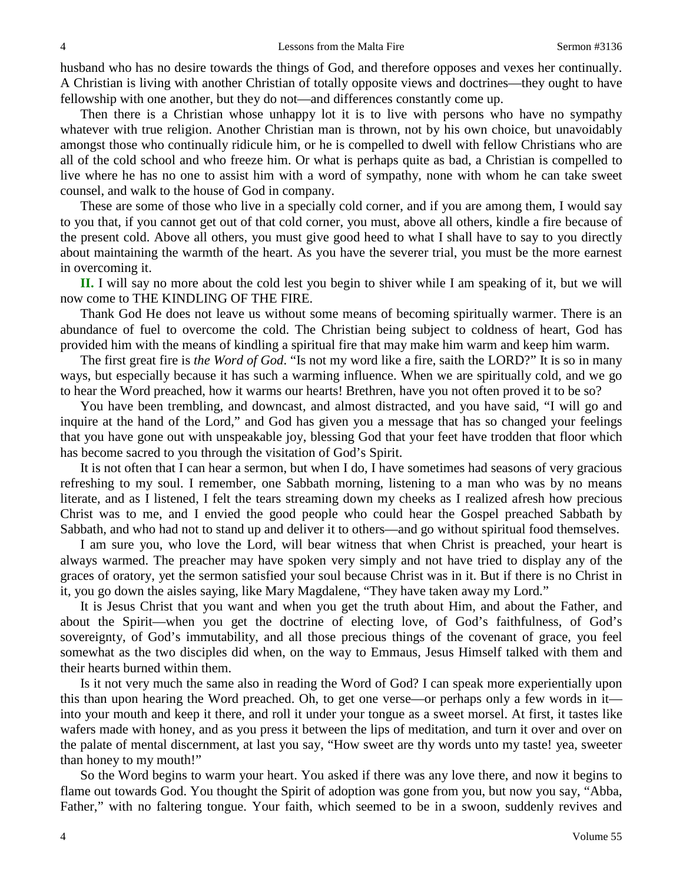husband who has no desire towards the things of God, and therefore opposes and vexes her continually. A Christian is living with another Christian of totally opposite views and doctrines—they ought to have fellowship with one another, but they do not—and differences constantly come up.

Then there is a Christian whose unhappy lot it is to live with persons who have no sympathy whatever with true religion. Another Christian man is thrown, not by his own choice, but unavoidably amongst those who continually ridicule him, or he is compelled to dwell with fellow Christians who are all of the cold school and who freeze him. Or what is perhaps quite as bad, a Christian is compelled to live where he has no one to assist him with a word of sympathy, none with whom he can take sweet counsel, and walk to the house of God in company.

These are some of those who live in a specially cold corner, and if you are among them, I would say to you that, if you cannot get out of that cold corner, you must, above all others, kindle a fire because of the present cold. Above all others, you must give good heed to what I shall have to say to you directly about maintaining the warmth of the heart. As you have the severer trial, you must be the more earnest in overcoming it.

**II.** I will say no more about the cold lest you begin to shiver while I am speaking of it, but we will now come to THE KINDLING OF THE FIRE.

Thank God He does not leave us without some means of becoming spiritually warmer. There is an abundance of fuel to overcome the cold. The Christian being subject to coldness of heart, God has provided him with the means of kindling a spiritual fire that may make him warm and keep him warm.

The first great fire is *the Word of God*. "Is not my word like a fire, saith the LORD?" It is so in many ways, but especially because it has such a warming influence. When we are spiritually cold, and we go to hear the Word preached, how it warms our hearts! Brethren, have you not often proved it to be so?

You have been trembling, and downcast, and almost distracted, and you have said, "I will go and inquire at the hand of the Lord," and God has given you a message that has so changed your feelings that you have gone out with unspeakable joy, blessing God that your feet have trodden that floor which has become sacred to you through the visitation of God's Spirit.

It is not often that I can hear a sermon, but when I do, I have sometimes had seasons of very gracious refreshing to my soul. I remember, one Sabbath morning, listening to a man who was by no means literate, and as I listened, I felt the tears streaming down my cheeks as I realized afresh how precious Christ was to me, and I envied the good people who could hear the Gospel preached Sabbath by Sabbath, and who had not to stand up and deliver it to others—and go without spiritual food themselves.

I am sure you, who love the Lord, will bear witness that when Christ is preached, your heart is always warmed. The preacher may have spoken very simply and not have tried to display any of the graces of oratory, yet the sermon satisfied your soul because Christ was in it. But if there is no Christ in it, you go down the aisles saying, like Mary Magdalene, "They have taken away my Lord."

It is Jesus Christ that you want and when you get the truth about Him, and about the Father, and about the Spirit—when you get the doctrine of electing love, of God's faithfulness, of God's sovereignty, of God's immutability, and all those precious things of the covenant of grace, you feel somewhat as the two disciples did when, on the way to Emmaus, Jesus Himself talked with them and their hearts burned within them.

Is it not very much the same also in reading the Word of God? I can speak more experientially upon this than upon hearing the Word preached. Oh, to get one verse—or perhaps only a few words in it into your mouth and keep it there, and roll it under your tongue as a sweet morsel. At first, it tastes like wafers made with honey, and as you press it between the lips of meditation, and turn it over and over on the palate of mental discernment, at last you say, "How sweet are thy words unto my taste! yea, sweeter than honey to my mouth!"

So the Word begins to warm your heart. You asked if there was any love there, and now it begins to flame out towards God. You thought the Spirit of adoption was gone from you, but now you say, "Abba, Father," with no faltering tongue. Your faith, which seemed to be in a swoon, suddenly revives and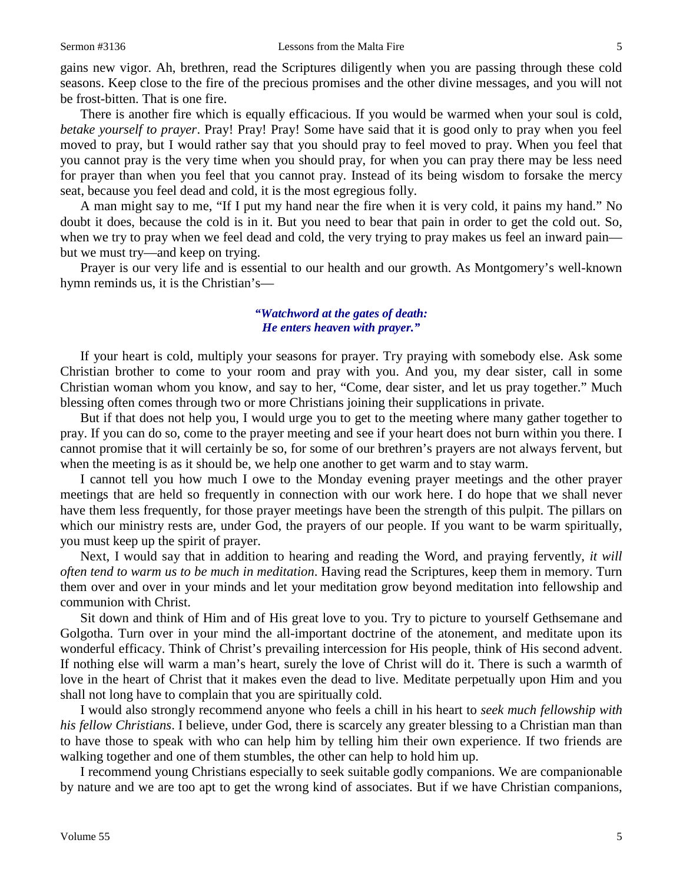gains new vigor. Ah, brethren, read the Scriptures diligently when you are passing through these cold seasons. Keep close to the fire of the precious promises and the other divine messages, and you will not be frost-bitten. That is one fire.

There is another fire which is equally efficacious. If you would be warmed when your soul is cold, *betake yourself to prayer*. Pray! Pray! Pray! Some have said that it is good only to pray when you feel moved to pray, but I would rather say that you should pray to feel moved to pray. When you feel that you cannot pray is the very time when you should pray, for when you can pray there may be less need for prayer than when you feel that you cannot pray. Instead of its being wisdom to forsake the mercy seat, because you feel dead and cold, it is the most egregious folly.

A man might say to me, "If I put my hand near the fire when it is very cold, it pains my hand." No doubt it does, because the cold is in it. But you need to bear that pain in order to get the cold out. So, when we try to pray when we feel dead and cold, the very trying to pray makes us feel an inward pain but we must try—and keep on trying.

Prayer is our very life and is essential to our health and our growth. As Montgomery's well-known hymn reminds us, it is the Christian's—

## *"Watchword at the gates of death: He enters heaven with prayer."*

If your heart is cold, multiply your seasons for prayer. Try praying with somebody else. Ask some Christian brother to come to your room and pray with you. And you, my dear sister, call in some Christian woman whom you know, and say to her, "Come, dear sister, and let us pray together." Much blessing often comes through two or more Christians joining their supplications in private.

But if that does not help you, I would urge you to get to the meeting where many gather together to pray. If you can do so, come to the prayer meeting and see if your heart does not burn within you there. I cannot promise that it will certainly be so, for some of our brethren's prayers are not always fervent, but when the meeting is as it should be, we help one another to get warm and to stay warm.

I cannot tell you how much I owe to the Monday evening prayer meetings and the other prayer meetings that are held so frequently in connection with our work here. I do hope that we shall never have them less frequently, for those prayer meetings have been the strength of this pulpit. The pillars on which our ministry rests are, under God, the prayers of our people. If you want to be warm spiritually, you must keep up the spirit of prayer.

Next, I would say that in addition to hearing and reading the Word, and praying fervently, *it will often tend to warm us to be much in meditation*. Having read the Scriptures, keep them in memory. Turn them over and over in your minds and let your meditation grow beyond meditation into fellowship and communion with Christ.

Sit down and think of Him and of His great love to you. Try to picture to yourself Gethsemane and Golgotha. Turn over in your mind the all-important doctrine of the atonement, and meditate upon its wonderful efficacy. Think of Christ's prevailing intercession for His people, think of His second advent. If nothing else will warm a man's heart, surely the love of Christ will do it. There is such a warmth of love in the heart of Christ that it makes even the dead to live. Meditate perpetually upon Him and you shall not long have to complain that you are spiritually cold.

I would also strongly recommend anyone who feels a chill in his heart to *seek much fellowship with his fellow Christians*. I believe, under God, there is scarcely any greater blessing to a Christian man than to have those to speak with who can help him by telling him their own experience. If two friends are walking together and one of them stumbles, the other can help to hold him up.

I recommend young Christians especially to seek suitable godly companions. We are companionable by nature and we are too apt to get the wrong kind of associates. But if we have Christian companions,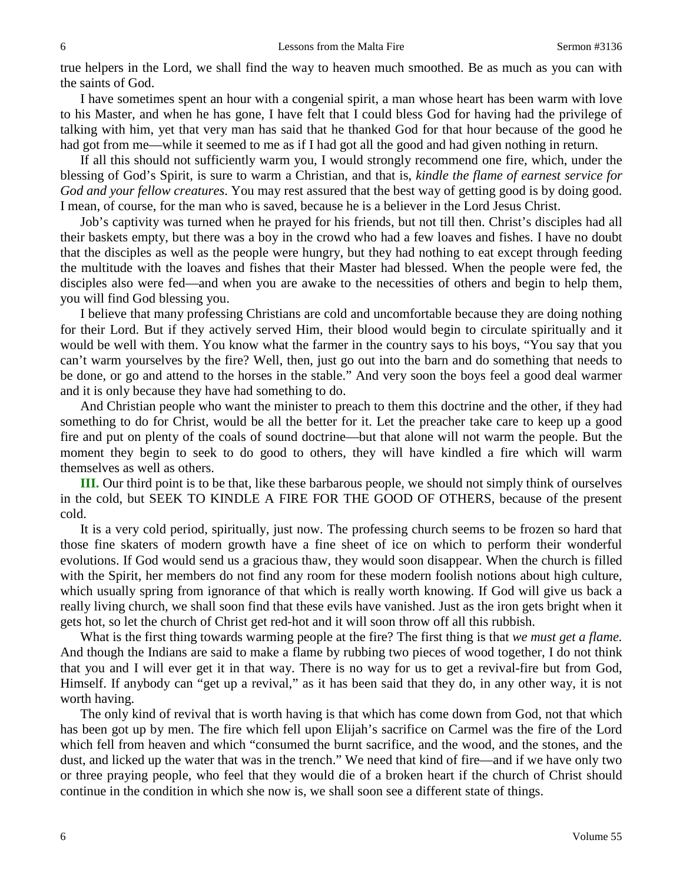true helpers in the Lord, we shall find the way to heaven much smoothed. Be as much as you can with the saints of God.

I have sometimes spent an hour with a congenial spirit, a man whose heart has been warm with love to his Master, and when he has gone, I have felt that I could bless God for having had the privilege of talking with him, yet that very man has said that he thanked God for that hour because of the good he had got from me—while it seemed to me as if I had got all the good and had given nothing in return.

If all this should not sufficiently warm you, I would strongly recommend one fire, which, under the blessing of God's Spirit, is sure to warm a Christian, and that is, *kindle the flame of earnest service for God and your fellow creatures*. You may rest assured that the best way of getting good is by doing good. I mean, of course, for the man who is saved, because he is a believer in the Lord Jesus Christ.

Job's captivity was turned when he prayed for his friends, but not till then. Christ's disciples had all their baskets empty, but there was a boy in the crowd who had a few loaves and fishes. I have no doubt that the disciples as well as the people were hungry, but they had nothing to eat except through feeding the multitude with the loaves and fishes that their Master had blessed. When the people were fed, the disciples also were fed—and when you are awake to the necessities of others and begin to help them, you will find God blessing you.

I believe that many professing Christians are cold and uncomfortable because they are doing nothing for their Lord. But if they actively served Him, their blood would begin to circulate spiritually and it would be well with them. You know what the farmer in the country says to his boys, "You say that you can't warm yourselves by the fire? Well, then, just go out into the barn and do something that needs to be done, or go and attend to the horses in the stable." And very soon the boys feel a good deal warmer and it is only because they have had something to do.

And Christian people who want the minister to preach to them this doctrine and the other, if they had something to do for Christ, would be all the better for it. Let the preacher take care to keep up a good fire and put on plenty of the coals of sound doctrine—but that alone will not warm the people. But the moment they begin to seek to do good to others, they will have kindled a fire which will warm themselves as well as others.

**III.** Our third point is to be that, like these barbarous people, we should not simply think of ourselves in the cold, but SEEK TO KINDLE A FIRE FOR THE GOOD OF OTHERS, because of the present cold.

It is a very cold period, spiritually, just now. The professing church seems to be frozen so hard that those fine skaters of modern growth have a fine sheet of ice on which to perform their wonderful evolutions. If God would send us a gracious thaw, they would soon disappear. When the church is filled with the Spirit, her members do not find any room for these modern foolish notions about high culture, which usually spring from ignorance of that which is really worth knowing. If God will give us back a really living church, we shall soon find that these evils have vanished. Just as the iron gets bright when it gets hot, so let the church of Christ get red-hot and it will soon throw off all this rubbish.

What is the first thing towards warming people at the fire? The first thing is that *we must get a flame.* And though the Indians are said to make a flame by rubbing two pieces of wood together, I do not think that you and I will ever get it in that way. There is no way for us to get a revival-fire but from God, Himself. If anybody can "get up a revival," as it has been said that they do, in any other way, it is not worth having.

The only kind of revival that is worth having is that which has come down from God, not that which has been got up by men. The fire which fell upon Elijah's sacrifice on Carmel was the fire of the Lord which fell from heaven and which "consumed the burnt sacrifice, and the wood, and the stones, and the dust, and licked up the water that was in the trench." We need that kind of fire—and if we have only two or three praying people, who feel that they would die of a broken heart if the church of Christ should continue in the condition in which she now is, we shall soon see a different state of things.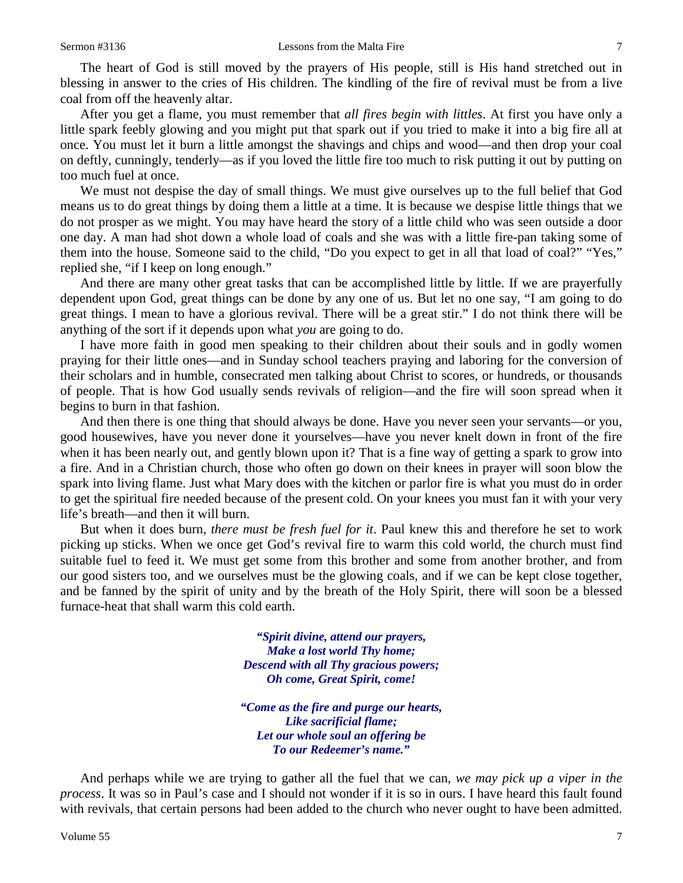The heart of God is still moved by the prayers of His people, still is His hand stretched out in blessing in answer to the cries of His children. The kindling of the fire of revival must be from a live coal from off the heavenly altar.

After you get a flame, you must remember that *all fires begin with littles*. At first you have only a little spark feebly glowing and you might put that spark out if you tried to make it into a big fire all at once. You must let it burn a little amongst the shavings and chips and wood—and then drop your coal on deftly, cunningly, tenderly—as if you loved the little fire too much to risk putting it out by putting on too much fuel at once.

We must not despise the day of small things. We must give ourselves up to the full belief that God means us to do great things by doing them a little at a time. It is because we despise little things that we do not prosper as we might. You may have heard the story of a little child who was seen outside a door one day. A man had shot down a whole load of coals and she was with a little fire-pan taking some of them into the house. Someone said to the child, "Do you expect to get in all that load of coal?" "Yes," replied she, "if I keep on long enough."

And there are many other great tasks that can be accomplished little by little. If we are prayerfully dependent upon God, great things can be done by any one of us. But let no one say, "I am going to do great things. I mean to have a glorious revival. There will be a great stir." I do not think there will be anything of the sort if it depends upon what *you* are going to do.

I have more faith in good men speaking to their children about their souls and in godly women praying for their little ones—and in Sunday school teachers praying and laboring for the conversion of their scholars and in humble, consecrated men talking about Christ to scores, or hundreds, or thousands of people. That is how God usually sends revivals of religion—and the fire will soon spread when it begins to burn in that fashion.

And then there is one thing that should always be done. Have you never seen your servants—or you, good housewives, have you never done it yourselves—have you never knelt down in front of the fire when it has been nearly out, and gently blown upon it? That is a fine way of getting a spark to grow into a fire. And in a Christian church, those who often go down on their knees in prayer will soon blow the spark into living flame. Just what Mary does with the kitchen or parlor fire is what you must do in order to get the spiritual fire needed because of the present cold. On your knees you must fan it with your very life's breath—and then it will burn.

But when it does burn, *there must be fresh fuel for it*. Paul knew this and therefore he set to work picking up sticks. When we once get God's revival fire to warm this cold world, the church must find suitable fuel to feed it. We must get some from this brother and some from another brother, and from our good sisters too, and we ourselves must be the glowing coals, and if we can be kept close together, and be fanned by the spirit of unity and by the breath of the Holy Spirit, there will soon be a blessed furnace-heat that shall warm this cold earth.

> *"Spirit divine, attend our prayers, Make a lost world Thy home; Descend with all Thy gracious powers; Oh come, Great Spirit, come!*

*"Come as the fire and purge our hearts, Like sacrificial flame; Let our whole soul an offering be To our Redeemer's name."*

And perhaps while we are trying to gather all the fuel that we can, *we may pick up a viper in the process*. It was so in Paul's case and I should not wonder if it is so in ours. I have heard this fault found with revivals, that certain persons had been added to the church who never ought to have been admitted.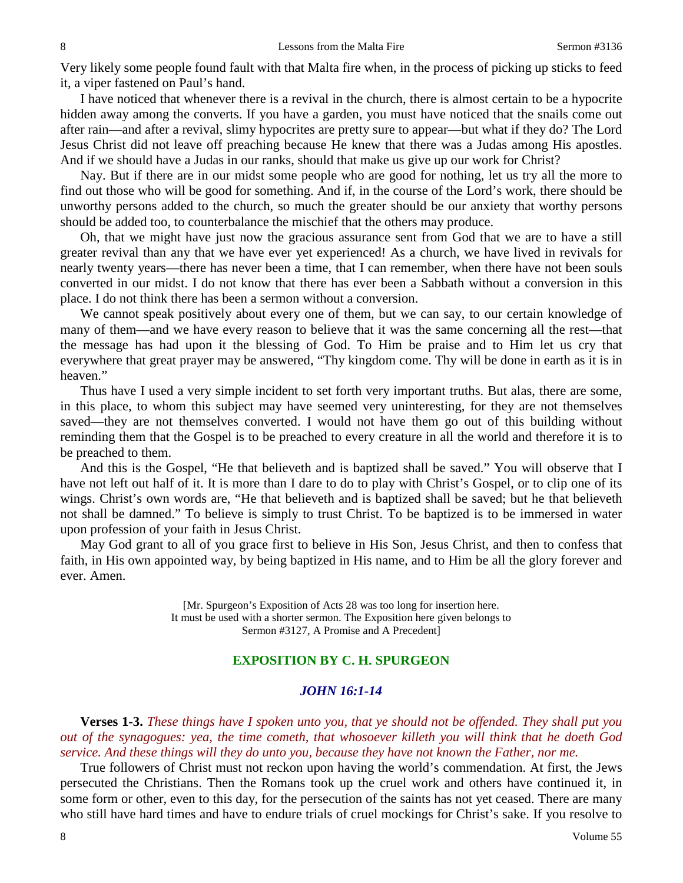Very likely some people found fault with that Malta fire when, in the process of picking up sticks to feed it, a viper fastened on Paul's hand.

I have noticed that whenever there is a revival in the church, there is almost certain to be a hypocrite hidden away among the converts. If you have a garden, you must have noticed that the snails come out after rain—and after a revival, slimy hypocrites are pretty sure to appear—but what if they do? The Lord Jesus Christ did not leave off preaching because He knew that there was a Judas among His apostles. And if we should have a Judas in our ranks, should that make us give up our work for Christ?

Nay. But if there are in our midst some people who are good for nothing, let us try all the more to find out those who will be good for something. And if, in the course of the Lord's work, there should be unworthy persons added to the church, so much the greater should be our anxiety that worthy persons should be added too, to counterbalance the mischief that the others may produce.

Oh, that we might have just now the gracious assurance sent from God that we are to have a still greater revival than any that we have ever yet experienced! As a church, we have lived in revivals for nearly twenty years—there has never been a time, that I can remember, when there have not been souls converted in our midst. I do not know that there has ever been a Sabbath without a conversion in this place. I do not think there has been a sermon without a conversion.

We cannot speak positively about every one of them, but we can say, to our certain knowledge of many of them—and we have every reason to believe that it was the same concerning all the rest—that the message has had upon it the blessing of God. To Him be praise and to Him let us cry that everywhere that great prayer may be answered, "Thy kingdom come. Thy will be done in earth as it is in heaven."

Thus have I used a very simple incident to set forth very important truths. But alas, there are some, in this place, to whom this subject may have seemed very uninteresting, for they are not themselves saved—they are not themselves converted. I would not have them go out of this building without reminding them that the Gospel is to be preached to every creature in all the world and therefore it is to be preached to them.

And this is the Gospel, "He that believeth and is baptized shall be saved." You will observe that I have not left out half of it. It is more than I dare to do to play with Christ's Gospel, or to clip one of its wings. Christ's own words are, "He that believeth and is baptized shall be saved; but he that believeth not shall be damned." To believe is simply to trust Christ. To be baptized is to be immersed in water upon profession of your faith in Jesus Christ.

May God grant to all of you grace first to believe in His Son, Jesus Christ, and then to confess that faith, in His own appointed way, by being baptized in His name, and to Him be all the glory forever and ever. Amen.

> [Mr. Spurgeon's Exposition of Acts 28 was too long for insertion here. It must be used with a shorter sermon. The Exposition here given belongs to Sermon #3127, A Promise and A Precedent]

### **EXPOSITION BY C. H. SPURGEON**

#### *JOHN 16:1-14*

**Verses 1-3.** *These things have I spoken unto you, that ye should not be offended. They shall put you out of the synagogues: yea, the time cometh, that whosoever killeth you will think that he doeth God service. And these things will they do unto you, because they have not known the Father, nor me.*

True followers of Christ must not reckon upon having the world's commendation. At first, the Jews persecuted the Christians. Then the Romans took up the cruel work and others have continued it, in some form or other, even to this day, for the persecution of the saints has not yet ceased. There are many who still have hard times and have to endure trials of cruel mockings for Christ's sake. If you resolve to